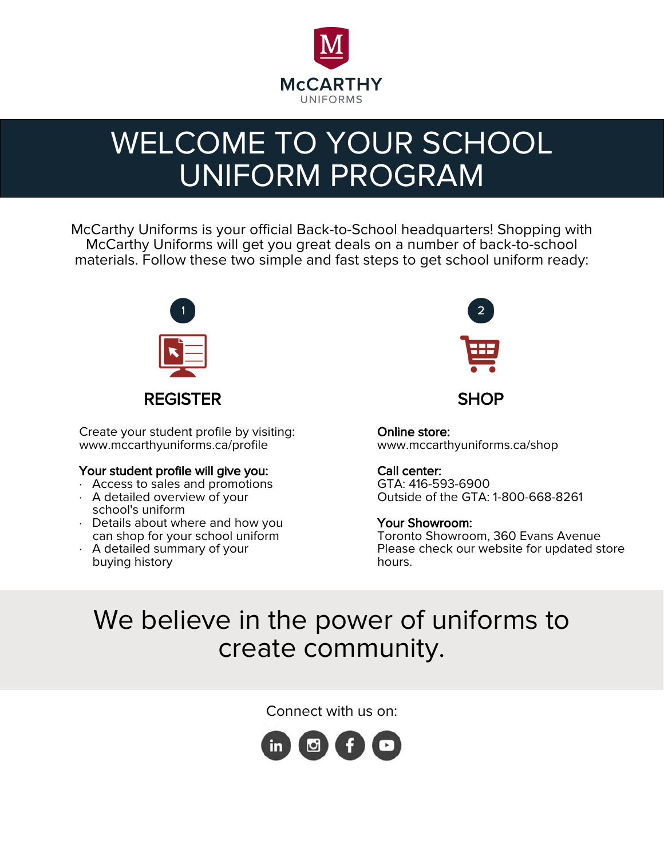

# WELCOME TO YOUR SCHOOL UNIFORM PROGRAM

McCarthy Uniforms is your official Back-to-School headquarters! Shopping with McCarthy Uniforms will get you great deals on a number of back-to-school materials. Follow these two simple and fast steps to get school uniform ready:



Create your student profile by visiting: www.mccarthyuniforms.ca/profile

#### Your student profile will give you:

- · Access to sales and promotions
- · A detailed overview of your school's uniform
- · Details about where and how you can shop for your school uniform
- · A detailed summary of your buying history



Online store: www.mccarthyuniforms.ca/shop

### Call center:

GTA: 416-593-6900 Outside of the GTA: 1-800-668-8261

### Your Showroom:

Toronto Showroom, 360 Evans Avenue Please check our website for updated store hours.

## We believe in the power of uniforms to create community.

Connect with us on: